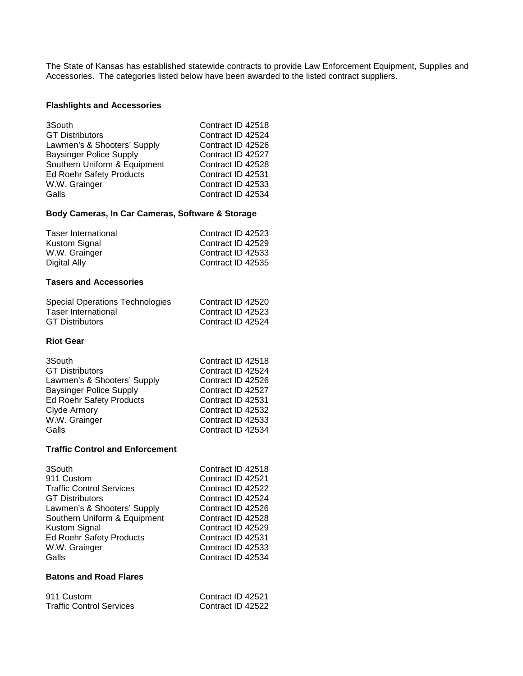The State of Kansas has established statewide contracts to provide Law Enforcement Equipment, Supplies and Accessories. The categories listed below have been awarded to the listed contract suppliers.

## **Flashlights and Accessories**

| 3South                         | Contract ID 42518 |
|--------------------------------|-------------------|
| <b>GT Distributors</b>         | Contract ID 42524 |
| Lawmen's & Shooters' Supply    | Contract ID 42526 |
| <b>Baysinger Police Supply</b> | Contract ID 42527 |
| Southern Uniform & Equipment   | Contract ID 42528 |
| Ed Roehr Safety Products       | Contract ID 42531 |
| W.W. Grainger                  | Contract ID 42533 |
| Galls                          | Contract ID 42534 |

## **Body Cameras, In Car Cameras, Software & Storage**

| Contract ID 42523 |
|-------------------|
| Contract ID 42529 |
| Contract ID 42533 |
| Contract ID 42535 |
|                   |

## **Tasers and Accessories**

| Special Operations Technologies | Contract ID 42520 |
|---------------------------------|-------------------|
| <b>Taser International</b>      | Contract ID 42523 |
| <b>GT Distributors</b>          | Contract ID 42524 |

#### **Riot Gear**

| 3South                         | Contract ID 42518 |
|--------------------------------|-------------------|
| <b>GT Distributors</b>         | Contract ID 42524 |
| Lawmen's & Shooters' Supply    | Contract ID 42526 |
| <b>Baysinger Police Supply</b> | Contract ID 42527 |
| Ed Roehr Safety Products       | Contract ID 42531 |
| Clyde Armory                   | Contract ID 42532 |
| W.W. Grainger                  | Contract ID 42533 |
| Galls                          | Contract ID 42534 |

#### **Traffic Control and Enforcement**

| 3South                          | Contract ID 42518 |
|---------------------------------|-------------------|
| 911 Custom                      | Contract ID 42521 |
| <b>Traffic Control Services</b> | Contract ID 42522 |
| <b>GT Distributors</b>          | Contract ID 42524 |
| Lawmen's & Shooters' Supply     | Contract ID 42526 |
| Southern Uniform & Equipment    | Contract ID 42528 |
| Kustom Signal                   | Contract ID 42529 |
| <b>Ed Roehr Safety Products</b> | Contract ID 42531 |
| W.W. Grainger                   | Contract ID 42533 |
| Galls                           | Contract ID 42534 |
|                                 |                   |

#### **Batons and Road Flares**

| 911 Custom                      | Contract ID 42521 |
|---------------------------------|-------------------|
| <b>Traffic Control Services</b> | Contract ID 42522 |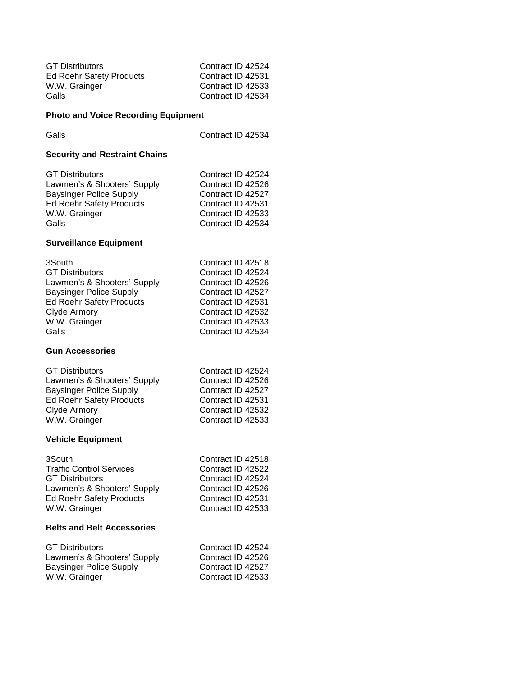| <b>GT Distributors</b>   | Contract ID 42524 |
|--------------------------|-------------------|
| Ed Roehr Safety Products | Contract ID 42531 |
| W.W. Grainger            | Contract ID 42533 |
| Galls                    | Contract ID 42534 |

# **Photo and Voice Recording Equipment**

| Galls                                                                                                                                                                          | Contract ID 42534                                                                                                                                                    |  |
|--------------------------------------------------------------------------------------------------------------------------------------------------------------------------------|----------------------------------------------------------------------------------------------------------------------------------------------------------------------|--|
| <b>Security and Restraint Chains</b>                                                                                                                                           |                                                                                                                                                                      |  |
| <b>GT Distributors</b><br>Lawmen's & Shooters' Supply<br><b>Baysinger Police Supply</b><br><b>Ed Roehr Safety Products</b><br>W.W. Grainger<br>Galls                           | Contract ID 42524<br>Contract ID 42526<br>Contract ID 42527<br>Contract ID 42531<br>Contract ID 42533<br>Contract ID 42534                                           |  |
| <b>Surveillance Equipment</b>                                                                                                                                                  |                                                                                                                                                                      |  |
| 3South<br><b>GT Distributors</b><br>Lawmen's & Shooters' Supply<br><b>Baysinger Police Supply</b><br><b>Ed Roehr Safety Products</b><br>Clyde Armory<br>W.W. Grainger<br>Galls | Contract ID 42518<br>Contract ID 42524<br>Contract ID 42526<br>Contract ID 42527<br>Contract ID 42531<br>Contract ID 42532<br>Contract ID 42533<br>Contract ID 42534 |  |
| <b>Gun Accessories</b>                                                                                                                                                         |                                                                                                                                                                      |  |
| <b>GT Distributors</b><br>Lawmen's & Shooters' Supply<br><b>Baysinger Police Supply</b><br><b>Ed Roehr Safety Products</b><br>Clyde Armory<br>W.W. Grainger                    | Contract ID 42524<br>Contract ID 42526<br>Contract ID 42527<br>Contract ID 42531<br>Contract ID 42532<br>Contract ID 42533                                           |  |
| <b>Vehicle Equipment</b>                                                                                                                                                       |                                                                                                                                                                      |  |
| 3South<br><b>Traffic Control Services</b><br><b>GT Distributors</b><br>Lawmen's & Shooters' Supply<br><b>Ed Roehr Safety Products</b><br>W.W. Grainger                         | Contract ID 42518<br>Contract ID 42522<br>Contract ID 42524<br>Contract ID 42526<br>Contract ID 42531<br>Contract ID 42533                                           |  |
| <b>Belts and Belt Accessories</b>                                                                                                                                              |                                                                                                                                                                      |  |
| <b>GT Distributors</b><br>Lawmen's & Shooters' Supply<br><b>Baysinger Police Supply</b><br>W.W. Grainger                                                                       | Contract ID 42524<br>Contract ID 42526<br>Contract ID 42527<br>Contract ID 42533                                                                                     |  |